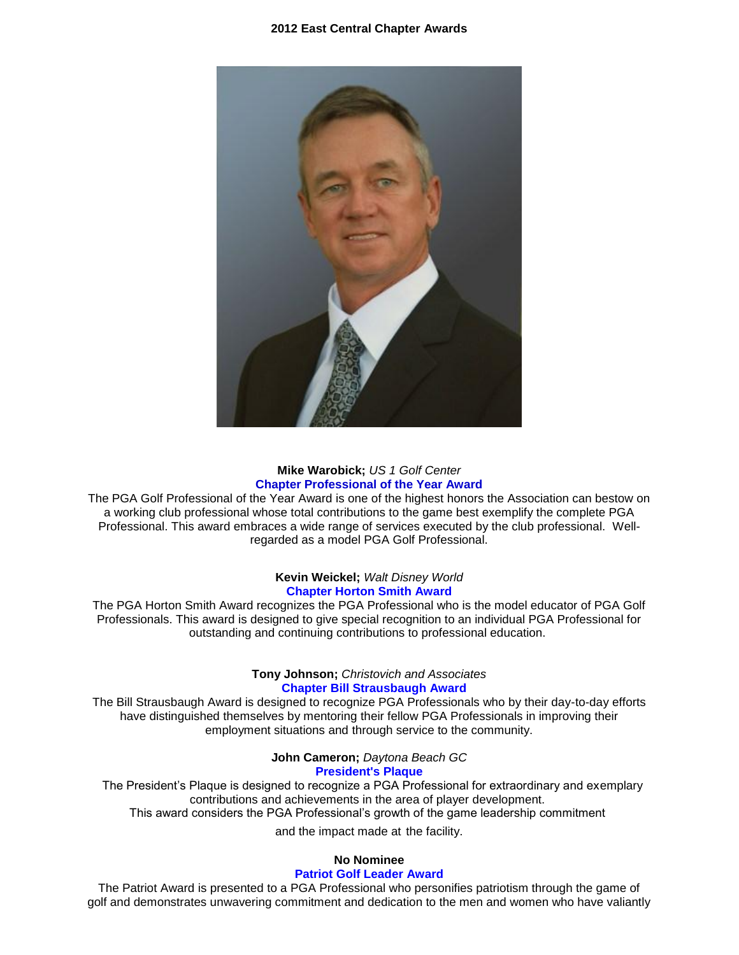

### **Mike Warobick;** *US 1 Golf Center* **Chapter Professional of the Year Award**

The PGA Golf Professional of the Year Award is one of the highest honors the Association can bestow on a working club professional whose total contributions to the game best exemplify the complete PGA Professional. This award embraces a wide range of services executed by the club professional. Wellregarded as a model PGA Golf Professional.

### **Kevin Weickel;** *Walt Disney World* **Chapter Horton Smith Award**

The PGA Horton Smith Award recognizes the PGA Professional who is the model educator of PGA Golf Professionals. This award is designed to give special recognition to an individual PGA Professional for outstanding and continuing contributions to professional education.

### **Tony Johnson;** *Christovich and Associates*  **Chapter Bill Strausbaugh Award**

The Bill Strausbaugh Award is designed to recognize PGA Professionals who by their day-to-day efforts have distinguished themselves by mentoring their fellow PGA Professionals in improving their employment situations and through service to the community.

**John Cameron;** *Daytona Beach GC*

### **President's Plaque**

 The President's Plaque is designed to recognize a PGA Professional for extraordinary and exemplary contributions and achievements in the area of player development. This award considers the PGA Professional's growth of the game leadership commitment

and the impact made at the facility.

### **No Nominee**

#### **Patriot Golf Leader Award**

The Patriot Award is presented to a PGA Professional who personifies patriotism through the game of golf and demonstrates unwavering commitment and dedication to the men and women who have valiantly